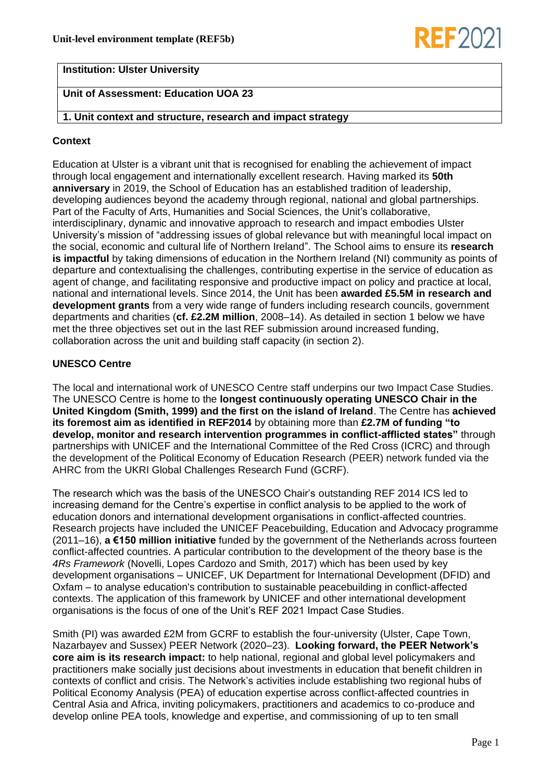

# **Institution: Ulster University**

# **Unit of Assessment: Education UOA 23**

## **1. Unit context and structure, research and impact strategy**

## **Context**

Education at Ulster is a vibrant unit that is recognised for enabling the achievement of impact through local engagement and internationally excellent research. Having marked its **50th anniversary** in 2019, the School of Education has an established tradition of leadership, developing audiences beyond the academy through regional, national and global partnerships. Part of the Faculty of Arts, Humanities and Social Sciences, the Unit's collaborative, interdisciplinary, dynamic and innovative approach to research and impact embodies Ulster University's mission of "addressing issues of global relevance but with meaningful local impact on the social, economic and cultural life of Northern Ireland". The School aims to ensure its **research is impactful** by taking dimensions of education in the Northern Ireland (NI) community as points of departure and contextualising the challenges, contributing expertise in the service of education as agent of change, and facilitating responsive and productive impact on policy and practice at local, national and international levels. Since 2014, the Unit has been **awarded £5.5M in research and development grants** from a very wide range of funders including research councils, government departments and charities (**cf. £2.2M million**, 2008–14). As detailed in section 1 below we have met the three objectives set out in the last REF submission around increased funding, collaboration across the unit and building staff capacity (in section 2).

# **UNESCO Centre**

The local and international work of UNESCO Centre staff underpins our two Impact Case Studies. The UNESCO Centre is home to the **longest continuously operating UNESCO Chair in the United Kingdom (Smith, 1999) and the first on the island of Ireland**. The Centre has **achieved its foremost aim as identified in REF2014** by obtaining more than **£2.7M of funding "to develop, monitor and research intervention programmes in conflict-afflicted states"** through partnerships with UNICEF and the International Committee of the Red Cross (ICRC) and through the development of the Political Economy of Education Research (PEER) network funded via the AHRC from the UKRI Global Challenges Research Fund (GCRF).

The research which was the basis of the UNESCO Chair's outstanding REF 2014 ICS led to increasing demand for the Centre's expertise in conflict analysis to be applied to the work of education donors and international development organisations in conflict-affected countries. Research projects have included the UNICEF Peacebuilding, Education and Advocacy programme (2011–16), **a €150 million initiative** funded by the government of the Netherlands across fourteen conflict-affected countries. A particular contribution to the development of the theory base is the *4Rs Framework* (Novelli, Lopes Cardozo and Smith, 2017) which has been used by key development organisations – UNICEF, UK Department for International Development (DFID) and Oxfam – to analyse education's contribution to sustainable peacebuilding in conflict-affected contexts. The application of this framework by UNICEF and other international development organisations is the focus of one of the Unit's REF 2021 Impact Case Studies.

Smith (PI) was awarded £2M from GCRF to establish the four-university (Ulster, Cape Town, Nazarbayev and Sussex) PEER Network (2020–23). **Looking forward, the PEER Network's core aim is its research impact:** to help national, regional and global level policymakers and practitioners make socially just decisions about investments in education that benefit children in contexts of conflict and crisis. The Network's activities include establishing two regional hubs of Political Economy Analysis (PEA) of education expertise across conflict-affected countries in Central Asia and Africa, inviting policymakers, practitioners and academics to co-produce and develop online PEA tools, knowledge and expertise, and commissioning of up to ten small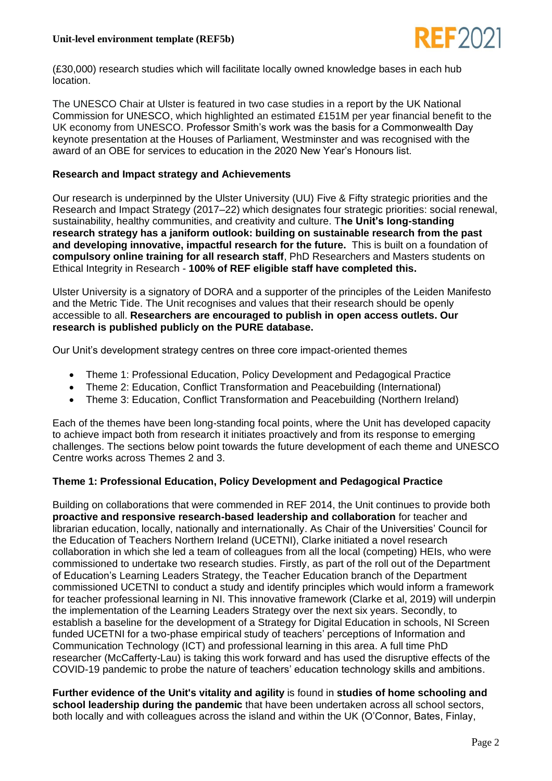

(£30,000) research studies which will facilitate locally owned knowledge bases in each hub location.

The UNESCO Chair at Ulster is featured in two case studies in a report by the UK National Commission for UNESCO, which highlighted an estimated £151M per year financial benefit to the UK economy from UNESCO. Professor Smith's work was the basis for a Commonwealth Day keynote presentation at the Houses of Parliament, Westminster and was recognised with the award of an OBE for services to education in the 2020 New Year's Honours list.

## **Research and Impact strategy and Achievements**

Our research is underpinned by the Ulster University (UU) Five & Fifty strategic priorities and the Research and Impact Strategy (2017–22) which designates four strategic priorities: social renewal, sustainability, healthy communities, and creativity and culture. T**he Unit's long-standing research strategy has a janiform outlook: building on sustainable research from the past and developing innovative, impactful research for the future.** This is built on a foundation of **compulsory online training for all research staff**, PhD Researchers and Masters students on Ethical Integrity in Research - **100% of REF eligible staff have completed this.**

Ulster University is a signatory of DORA and a supporter of the principles of the Leiden Manifesto and the Metric Tide. The Unit recognises and values that their research should be openly accessible to all. **Researchers are encouraged to publish in open access outlets. Our research is published publicly on the PURE database.**

Our Unit's development strategy centres on three core impact-oriented themes

- Theme 1: Professional Education, Policy Development and Pedagogical Practice
- Theme 2: Education, Conflict Transformation and Peacebuilding (International)
- Theme 3: Education, Conflict Transformation and Peacebuilding (Northern Ireland)

Each of the themes have been long-standing focal points, where the Unit has developed capacity to achieve impact both from research it initiates proactively and from its response to emerging challenges. The sections below point towards the future development of each theme and UNESCO Centre works across Themes 2 and 3.

# **Theme 1: Professional Education, Policy Development and Pedagogical Practice**

Building on collaborations that were commended in REF 2014, the Unit continues to provide both **proactive and responsive research-based leadership and collaboration** for teacher and librarian education, locally, nationally and internationally. As Chair of the Universities' Council for the Education of Teachers Northern Ireland (UCETNI), Clarke initiated a novel research collaboration in which she led a team of colleagues from all the local (competing) HEIs, who were commissioned to undertake two research studies. Firstly, as part of the roll out of the Department of Education's Learning Leaders Strategy, the Teacher Education branch of the Department commissioned UCETNI to conduct a study and identify principles which would inform a framework for teacher professional learning in NI. This innovative framework (Clarke et al, 2019) will underpin the implementation of the Learning Leaders Strategy over the next six years. Secondly, to establish a baseline for the development of a Strategy for Digital Education in schools, NI Screen funded UCETNI for a two-phase empirical study of teachers' perceptions of Information and Communication Technology (ICT) and professional learning in this area. A full time PhD researcher (McCafferty-Lau) is taking this work forward and has used the disruptive effects of the COVID-19 pandemic to probe the nature of teachers' education technology skills and ambitions.

**Further evidence of the Unit's vitality and agility** is found in **studies of home schooling and school leadership during the pandemic** that have been undertaken across all school sectors, both locally and with colleagues across the island and within the UK (O'Connor, Bates, Finlay,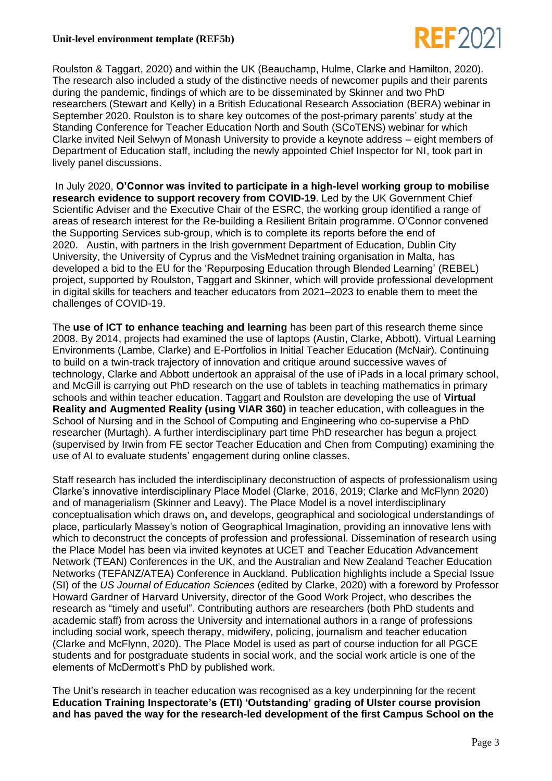

Roulston & Taggart, 2020) and within the UK (Beauchamp, Hulme, Clarke and Hamilton, 2020). The research also included a study of the distinctive needs of newcomer pupils and their parents during the pandemic, findings of which are to be disseminated by Skinner and two PhD researchers (Stewart and Kelly) in a British Educational Research Association (BERA) webinar in September 2020. Roulston is to share key outcomes of the post-primary parents' study at the Standing Conference for Teacher Education North and South (SCoTENS) webinar for which Clarke invited Neil Selwyn of Monash University to provide a keynote address – eight members of Department of Education staff, including the newly appointed Chief Inspector for NI, took part in lively panel discussions.

In July 2020, **O'Connor was invited to participate in a high-level working group to mobilise research evidence to support recovery from COVID-19**. Led by the UK Government Chief Scientific Adviser and the Executive Chair of the ESRC, the working group identified a range of areas of research interest for the Re-building a Resilient Britain programme. O'Connor convened the Supporting Services sub-group, which is to complete its reports before the end of 2020. Austin, with partners in the Irish government Department of Education, Dublin City University, the University of Cyprus and the VisMednet training organisation in Malta, has developed a bid to the EU for the 'Repurposing Education through Blended Learning' (REBEL) project, supported by Roulston, Taggart and Skinner, which will provide professional development in digital skills for teachers and teacher educators from 2021–2023 to enable them to meet the challenges of COVID-19.

The **use of ICT to enhance teaching and learning** has been part of this research theme since 2008. By 2014, projects had examined the use of laptops (Austin, Clarke, Abbott), Virtual Learning Environments (Lambe, Clarke) and E-Portfolios in Initial Teacher Education (McNair). Continuing to build on a twin-track trajectory of innovation and critique around successive waves of technology, Clarke and Abbott undertook an appraisal of the use of iPads in a local primary school, and McGill is carrying out PhD research on the use of tablets in teaching mathematics in primary schools and within teacher education. Taggart and Roulston are developing the use of **Virtual Reality and Augmented Reality (using VIAR 360)** in teacher education, with colleagues in the School of Nursing and in the School of Computing and Engineering who co-supervise a PhD researcher (Murtagh). A further interdisciplinary part time PhD researcher has begun a project (supervised by Irwin from FE sector Teacher Education and Chen from Computing) examining the use of AI to evaluate students' engagement during online classes.

Staff research has included the interdisciplinary deconstruction of aspects of professionalism using Clarke's innovative interdisciplinary Place Model (Clarke, 2016, 2019; Clarke and McFlynn 2020) and of managerialism (Skinner and Leavy). The Place Model is a novel interdisciplinary conceptualisation which draws on**,** and develops, geographical and sociological understandings of place, particularly Massey's notion of Geographical Imagination, providing an innovative lens with which to deconstruct the concepts of profession and professional. Dissemination of research using the Place Model has been via invited keynotes at UCET and Teacher Education Advancement Network (TEAN) Conferences in the UK, and the Australian and New Zealand Teacher Education Networks (TEFANZ/ATEA) Conference in Auckland. Publication highlights include a Special Issue (SI) of the *US Journal of Education Sciences* (edited by Clarke, 2020) with a foreword by Professor Howard Gardner of Harvard University, director of the Good Work Project, who describes the research as "timely and useful". Contributing authors are researchers (both PhD students and academic staff) from across the University and international authors in a range of professions including social work, speech therapy, midwifery, policing, journalism and teacher education (Clarke and McFlynn, 2020). The Place Model is used as part of course induction for all PGCE students and for postgraduate students in social work, and the social work article is one of the elements of McDermott's PhD by published work.

The Unit's research in teacher education was recognised as a key underpinning for the recent **Education Training Inspectorate's (ETI) 'Outstanding' grading of Ulster course provision and has paved the way for the research-led development of the first Campus School on the**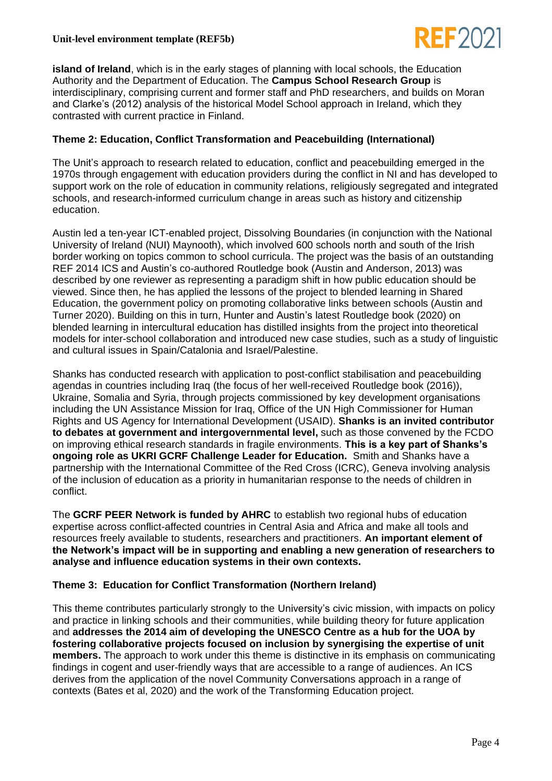

**island of Ireland**, which is in the early stages of planning with local schools, the Education Authority and the Department of Education. The **Campus School Research Group** is interdisciplinary, comprising current and former staff and PhD researchers, and builds on Moran and Clarke's (2012) analysis of the historical Model School approach in Ireland, which they contrasted with current practice in Finland.

# **Theme 2: Education, Conflict Transformation and Peacebuilding (International)**

The Unit's approach to research related to education, conflict and peacebuilding emerged in the 1970s through engagement with education providers during the conflict in NI and has developed to support work on the role of education in community relations, religiously segregated and integrated schools, and research-informed curriculum change in areas such as history and citizenship education.

Austin led a ten-year ICT-enabled project, Dissolving Boundaries (in conjunction with the National University of Ireland (NUI) Maynooth), which involved 600 schools north and south of the Irish border working on topics common to school curricula. The project was the basis of an outstanding REF 2014 ICS and Austin's co-authored Routledge book (Austin and Anderson, 2013) was described by one reviewer as representing a paradigm shift in how public education should be viewed. Since then, he has applied the lessons of the project to blended learning in Shared Education, the government policy on promoting collaborative links between schools (Austin and Turner 2020). Building on this in turn, Hunter and Austin's latest Routledge book (2020) on blended learning in intercultural education has distilled insights from the project into theoretical models for inter-school collaboration and introduced new case studies, such as a study of linguistic and cultural issues in Spain/Catalonia and Israel/Palestine.

Shanks has conducted research with application to post-conflict stabilisation and peacebuilding agendas in countries including Iraq (the focus of her well-received Routledge book (2016)), Ukraine, Somalia and Syria, through projects commissioned by key development organisations including the UN Assistance Mission for Iraq, Office of the UN High Commissioner for Human Rights and US Agency for International Development (USAID). **Shanks is an invited contributor to debates at government and intergovernmental level,** such as those convened by the FCDO on improving ethical research standards in fragile environments. **This is a key part of Shanks's ongoing role as UKRI GCRF Challenge Leader for Education.** Smith and Shanks have a partnership with the International Committee of the Red Cross (ICRC), Geneva involving analysis of the inclusion of education as a priority in humanitarian response to the needs of children in conflict.

The **GCRF PEER Network is funded by AHRC** to establish two regional hubs of education expertise across conflict-affected countries in Central Asia and Africa and make all tools and resources freely available to students, researchers and practitioners. **An important element of the Network's impact will be in supporting and enabling a new generation of researchers to analyse and influence education systems in their own contexts.**

# **Theme 3: Education for Conflict Transformation (Northern Ireland)**

This theme contributes particularly strongly to the University's civic mission, with impacts on policy and practice in linking schools and their communities, while building theory for future application and **addresses the 2014 aim of developing the UNESCO Centre as a hub for the UOA by fostering collaborative projects focused on inclusion by synergising the expertise of unit members.** The approach to work under this theme is distinctive in its emphasis on communicating findings in cogent and user-friendly ways that are accessible to a range of audiences. An ICS derives from the application of the novel Community Conversations approach in a range of contexts (Bates et al, 2020) and the work of the Transforming Education project.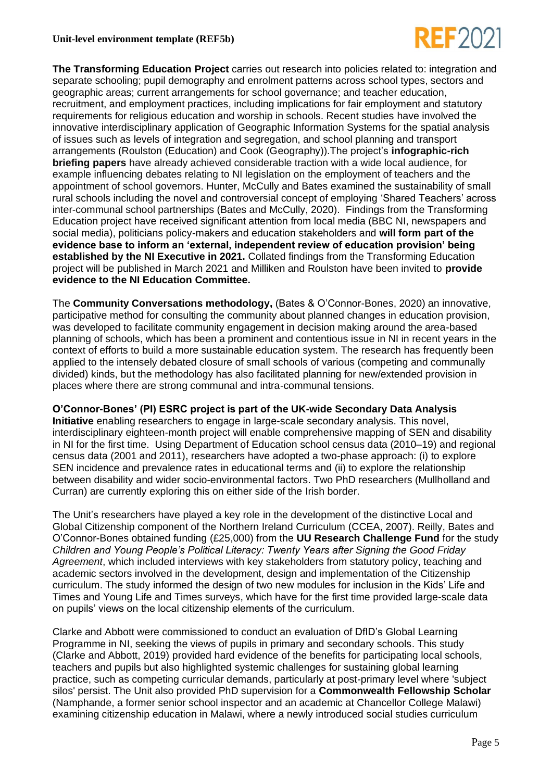

**The Transforming Education Project** carries out research into policies related to: integration and separate schooling; pupil demography and enrolment patterns across school types, sectors and geographic areas; current arrangements for school governance; and teacher education, recruitment, and employment practices, including implications for fair employment and statutory requirements for religious education and worship in schools. Recent studies have involved the innovative interdisciplinary application of Geographic Information Systems for the spatial analysis of issues such as levels of integration and segregation, and school planning and transport arrangements (Roulston (Education) and Cook (Geography)).The project's **infographic-rich briefing papers** have already achieved considerable traction with a wide local audience, for example influencing debates relating to NI legislation on the employment of teachers and the appointment of school governors. Hunter, McCully and Bates examined the sustainability of small rural schools including the novel and controversial concept of employing 'Shared Teachers' across inter-communal school partnerships (Bates and McCully, 2020). Findings from the Transforming Education project have received significant attention from local media (BBC NI, newspapers and social media), politicians policy-makers and education stakeholders and **will form part of the evidence base to inform an 'external, independent review of education provision' being established by the NI Executive in 2021.** Collated findings from the Transforming Education project will be published in March 2021 and Milliken and Roulston have been invited to **provide evidence to the NI Education Committee.**

The **Community Conversations methodology,** (Bates & O'Connor-Bones, 2020) an innovative, participative method for consulting the community about planned changes in education provision, was developed to facilitate community engagement in decision making around the area-based planning of schools, which has been a prominent and contentious issue in NI in recent years in the context of efforts to build a more sustainable education system. The research has frequently been applied to the intensely debated closure of small schools of various (competing and communally divided) kinds, but the methodology has also facilitated planning for new/extended provision in places where there are strong communal and intra-communal tensions.

# **O'Connor-Bones' (PI) ESRC project is part of the UK-wide Secondary Data Analysis**

**Initiative** enabling researchers to engage in large-scale secondary analysis. This novel, interdisciplinary eighteen-month project will enable comprehensive mapping of SEN and disability in NI for the first time. Using Department of Education school census data (2010–19) and regional census data (2001 and 2011), researchers have adopted a two-phase approach: (i) to explore SEN incidence and prevalence rates in educational terms and (ii) to explore the relationship between disability and wider socio-environmental factors. Two PhD researchers (Mullholland and Curran) are currently exploring this on either side of the Irish border.

The Unit's researchers have played a key role in the development of the distinctive Local and Global Citizenship component of the Northern Ireland Curriculum (CCEA, 2007). Reilly, Bates and O'Connor-Bones obtained funding (£25,000) from the **UU Research Challenge Fund** for the study *Children and Young People's Political Literacy: Twenty Years after Signing the Good Friday Agreement*, which included interviews with key stakeholders from statutory policy, teaching and academic sectors involved in the development, design and implementation of the Citizenship curriculum. The study informed the design of two new modules for inclusion in the Kids' Life and Times and Young Life and Times surveys, which have for the first time provided large-scale data on pupils' views on the local citizenship elements of the curriculum.

Clarke and Abbott were commissioned to conduct an evaluation of DfID's Global Learning Programme in NI, seeking the views of pupils in primary and secondary schools. This study (Clarke and Abbott, 2019) provided hard evidence of the benefits for participating local schools, teachers and pupils but also highlighted systemic challenges for sustaining global learning practice, such as competing curricular demands, particularly at post-primary level where 'subject silos' persist. The Unit also provided PhD supervision for a **Commonwealth Fellowship Scholar**  (Namphande, a former senior school inspector and an academic at Chancellor College Malawi) examining citizenship education in Malawi, where a newly introduced social studies curriculum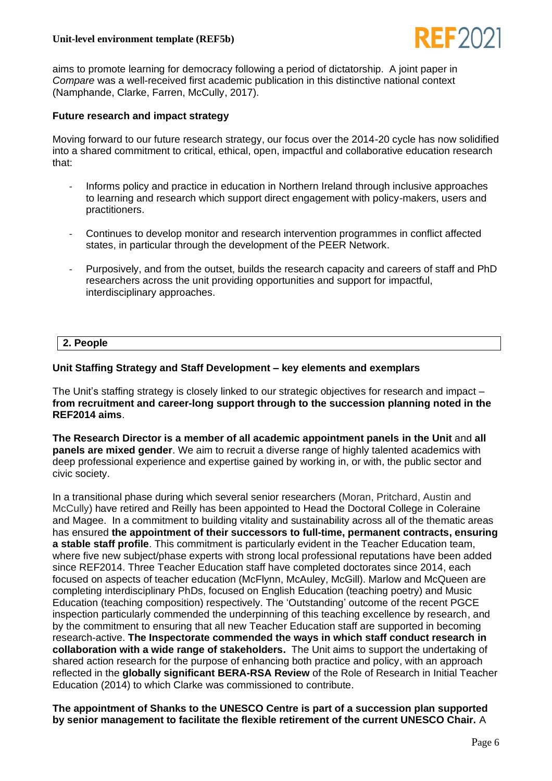

aims to promote learning for democracy following a period of dictatorship. A joint paper in *Compare* was a well-received first academic publication in this distinctive national context (Namphande, Clarke, Farren, McCully, 2017).

### **Future research and impact strategy**

Moving forward to our future research strategy, our focus over the 2014-20 cycle has now solidified into a shared commitment to critical, ethical, open, impactful and collaborative education research that:

- Informs policy and practice in education in Northern Ireland through inclusive approaches to learning and research which support direct engagement with policy-makers, users and practitioners.
- Continues to develop monitor and research intervention programmes in conflict affected states, in particular through the development of the PEER Network.
- Purposively, and from the outset, builds the research capacity and careers of staff and PhD researchers across the unit providing opportunities and support for impactful, interdisciplinary approaches.

## **2. People**

### **Unit Staffing Strategy and Staff Development – key elements and exemplars**

The Unit's staffing strategy is closely linked to our strategic objectives for research and impact – **from recruitment and career-long support through to the succession planning noted in the REF2014 aims**.

**The Research Director is a member of all academic appointment panels in the Unit** and **all panels are mixed gender**. We aim to recruit a diverse range of highly talented academics with deep professional experience and expertise gained by working in, or with, the public sector and civic society.

In a transitional phase during which several senior researchers (Moran, Pritchard, Austin and McCully) have retired and Reilly has been appointed to Head the Doctoral College in Coleraine and Magee. In a commitment to building vitality and sustainability across all of the thematic areas has ensured **the appointment of their successors to full-time, permanent contracts, ensuring a stable staff profile**. This commitment is particularly evident in the Teacher Education team, where five new subject/phase experts with strong local professional reputations have been added since REF2014. Three Teacher Education staff have completed doctorates since 2014, each focused on aspects of teacher education (McFlynn, McAuley, McGill). Marlow and McQueen are completing interdisciplinary PhDs, focused on English Education (teaching poetry) and Music Education (teaching composition) respectively. The 'Outstanding' outcome of the recent PGCE inspection particularly commended the underpinning of this teaching excellence by research, and by the commitment to ensuring that all new Teacher Education staff are supported in becoming research-active. **The Inspectorate commended the ways in which staff conduct research in collaboration with a wide range of stakeholders.** The Unit aims to support the undertaking of shared action research for the purpose of enhancing both practice and policy, with an approach reflected in the **globally significant BERA-RSA Review** of the Role of Research in Initial Teacher Education (2014) to which Clarke was commissioned to contribute.

**The appointment of Shanks to the UNESCO Centre is part of a succession plan supported by senior management to facilitate the flexible retirement of the current UNESCO Chair.** A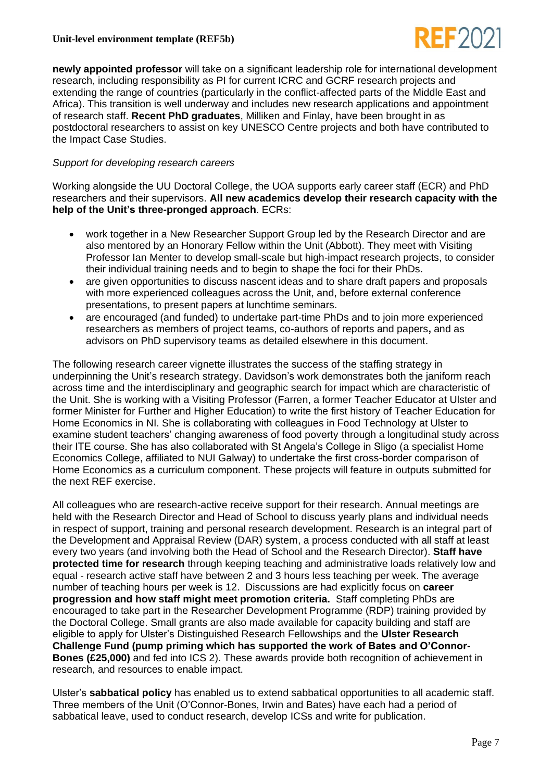

**newly appointed professor** will take on a significant leadership role for international development research, including responsibility as PI for current ICRC and GCRF research projects and extending the range of countries (particularly in the conflict-affected parts of the Middle East and Africa). This transition is well underway and includes new research applications and appointment of research staff. **Recent PhD graduates**, Milliken and Finlay, have been brought in as postdoctoral researchers to assist on key UNESCO Centre projects and both have contributed to the Impact Case Studies.

## *Support for developing research careers*

Working alongside the UU Doctoral College, the UOA supports early career staff (ECR) and PhD researchers and their supervisors. **All new academics develop their research capacity with the help of the Unit's three-pronged approach**. ECRs:

- work together in a New Researcher Support Group led by the Research Director and are also mentored by an Honorary Fellow within the Unit (Abbott). They meet with Visiting Professor Ian Menter to develop small-scale but high-impact research projects, to consider their individual training needs and to begin to shape the foci for their PhDs.
- are given opportunities to discuss nascent ideas and to share draft papers and proposals with more experienced colleagues across the Unit, and, before external conference presentations, to present papers at lunchtime seminars.
- are encouraged (and funded) to undertake part-time PhDs and to join more experienced researchers as members of project teams, co-authors of reports and papers**,** and as advisors on PhD supervisory teams as detailed elsewhere in this document.

The following research career vignette illustrates the success of the staffing strategy in underpinning the Unit's research strategy. Davidson's work demonstrates both the janiform reach across time and the interdisciplinary and geographic search for impact which are characteristic of the Unit. She is working with a Visiting Professor (Farren, a former Teacher Educator at Ulster and former Minister for Further and Higher Education) to write the first history of Teacher Education for Home Economics in NI. She is collaborating with colleagues in Food Technology at Ulster to examine student teachers' changing awareness of food poverty through a longitudinal study across their ITE course. She has also collaborated with St Angela's College in Sligo (a specialist Home Economics College, affiliated to NUI Galway) to undertake the first cross-border comparison of Home Economics as a curriculum component. These projects will feature in outputs submitted for the next REF exercise.

All colleagues who are research-active receive support for their research. Annual meetings are held with the Research Director and Head of School to discuss yearly plans and individual needs in respect of support, training and personal research development. Research is an integral part of the Development and Appraisal Review (DAR) system, a process conducted with all staff at least every two years (and involving both the Head of School and the Research Director). **Staff have protected time for research** through keeping teaching and administrative loads relatively low and equal - research active staff have between 2 and 3 hours less teaching per week. The average number of teaching hours per week is 12. Discussions are had explicitly focus on **career progression and how staff might meet promotion criteria.** Staff completing PhDs are encouraged to take part in the Researcher Development Programme (RDP) training provided by the Doctoral College. Small grants are also made available for capacity building and staff are eligible to apply for Ulster's Distinguished Research Fellowships and the **Ulster Research Challenge Fund (pump priming which has supported the work of Bates and O'Connor-Bones (£25,000)** and fed into ICS 2). These awards provide both recognition of achievement in research, and resources to enable impact.

Ulster's **sabbatical policy** has enabled us to extend sabbatical opportunities to all academic staff. Three members of the Unit (O'Connor-Bones, Irwin and Bates) have each had a period of sabbatical leave, used to conduct research, develop ICSs and write for publication.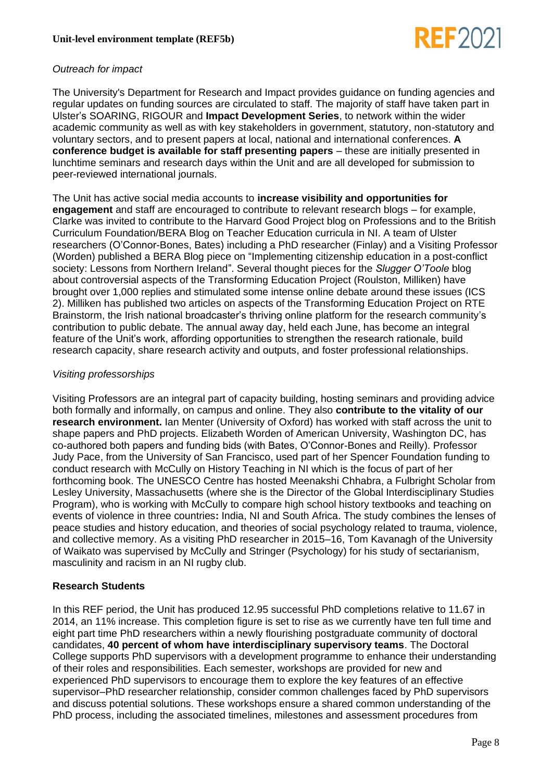

# *Outreach for impact*

The University's Department for Research and Impact provides guidance on funding agencies and regular updates on funding sources are circulated to staff. The majority of staff have taken part in Ulster's SOARING, RIGOUR and **Impact Development Series**, to network within the wider academic community as well as with key stakeholders in government, statutory, non-statutory and voluntary sectors, and to present papers at local, national and international conferences. **A conference budget is available for staff presenting papers** – these are initially presented in lunchtime seminars and research days within the Unit and are all developed for submission to peer-reviewed international journals.

The Unit has active social media accounts to **increase visibility and opportunities for engagement** and staff are encouraged to contribute to relevant research blogs – for example, Clarke was invited to contribute to the Harvard Good Project blog on Professions and to the British Curriculum Foundation/BERA Blog on Teacher Education curricula in NI. A team of Ulster researchers (O'Connor-Bones, Bates) including a PhD researcher (Finlay) and a Visiting Professor (Worden) published a BERA Blog piece on "Implementing citizenship education in a post-conflict society: Lessons from Northern Ireland". Several thought pieces for the *Slugger O'Toole* blog about controversial aspects of the Transforming Education Project (Roulston, Milliken) have brought over 1,000 replies and stimulated some intense online debate around these issues (ICS 2). Milliken has published two articles on aspects of the Transforming Education Project on RTE Brainstorm, the Irish national broadcaster's thriving online platform for the research community's contribution to public debate. The annual away day, held each June, has become an integral feature of the Unit's work, affording opportunities to strengthen the research rationale, build research capacity, share research activity and outputs, and foster professional relationships.

# *Visiting professorships*

Visiting Professors are an integral part of capacity building, hosting seminars and providing advice both formally and informally, on campus and online. They also **contribute to the vitality of our research environment.** Ian Menter (University of Oxford) has worked with staff across the unit to shape papers and PhD projects. Elizabeth Worden of American University, Washington DC, has co-authored both papers and funding bids (with Bates, O'Connor-Bones and Reilly). Professor Judy Pace, from the University of San Francisco, used part of her Spencer Foundation funding to conduct research with McCully on History Teaching in NI which is the focus of part of her forthcoming book. The UNESCO Centre has hosted Meenakshi Chhabra, a Fulbright Scholar from Lesley University, Massachusetts (where she is the Director of the Global Interdisciplinary Studies Program), who is working with McCully to compare high school history textbooks and teaching on events of violence in three countries**:** India, NI and South Africa. The study combines the lenses of peace studies and history education, and theories of social psychology related to trauma, violence, and collective memory. As a visiting PhD researcher in 2015–16, Tom Kavanagh of the University of Waikato was supervised by McCully and Stringer (Psychology) for his study of sectarianism, masculinity and racism in an NI rugby club.

# **Research Students**

In this REF period, the Unit has produced 12.95 successful PhD completions relative to 11.67 in 2014, an 11% increase. This completion figure is set to rise as we currently have ten full time and eight part time PhD researchers within a newly flourishing postgraduate community of doctoral candidates, **40 percent of whom have interdisciplinary supervisory teams**. The Doctoral College supports PhD supervisors with a development programme to enhance their understanding of their roles and responsibilities. Each semester, workshops are provided for new and experienced PhD supervisors to encourage them to explore the key features of an effective supervisor–PhD researcher relationship, consider common challenges faced by PhD supervisors and discuss potential solutions. These workshops ensure a shared common understanding of the PhD process, including the associated timelines, milestones and assessment procedures from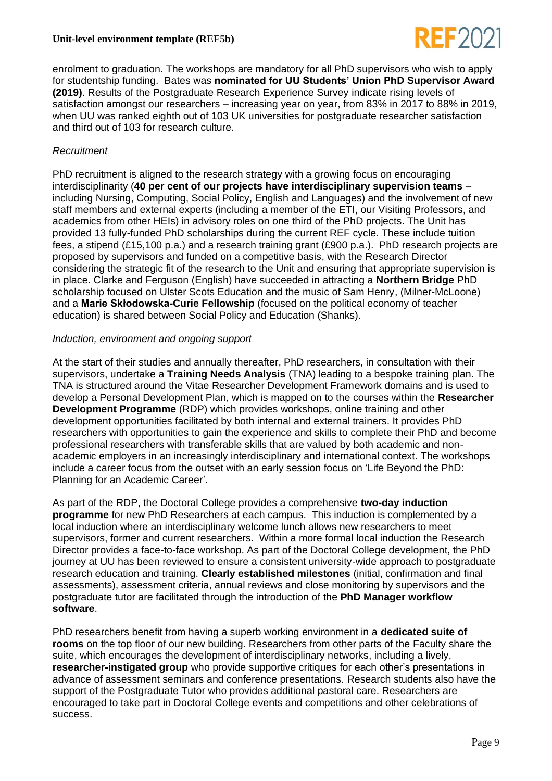

enrolment to graduation. The workshops are mandatory for all PhD supervisors who wish to apply for studentship funding. Bates was **nominated for UU Students' Union PhD Supervisor Award (2019)**. Results of the Postgraduate Research Experience Survey indicate rising levels of satisfaction amongst our researchers – increasing year on year, from 83% in 2017 to 88% in 2019, when UU was ranked eighth out of 103 UK universities for postgraduate researcher satisfaction and third out of 103 for research culture.

# *Recruitment*

PhD recruitment is aligned to the research strategy with a growing focus on encouraging interdisciplinarity (**40 per cent of our projects have interdisciplinary supervision teams** – including Nursing, Computing, Social Policy, English and Languages) and the involvement of new staff members and external experts (including a member of the ETI, our Visiting Professors, and academics from other HEIs) in advisory roles on one third of the PhD projects. The Unit has provided 13 fully-funded PhD scholarships during the current REF cycle. These include tuition fees, a stipend (£15,100 p.a.) and a research training grant (£900 p.a.). PhD research projects are proposed by supervisors and funded on a competitive basis, with the Research Director considering the strategic fit of the research to the Unit and ensuring that appropriate supervision is in place. Clarke and Ferguson (English) have succeeded in attracting a **Northern Bridge** PhD scholarship focused on Ulster Scots Education and the music of Sam Henry, (Milner-McLoone) and a **Marie Skłodowska-Curie Fellowship** (focused on the political economy of teacher education) is shared between Social Policy and Education (Shanks).

## *Induction, environment and ongoing support*

At the start of their studies and annually thereafter, PhD researchers, in consultation with their supervisors, undertake a **Training Needs Analysis** (TNA) leading to a bespoke training plan. The TNA is structured around the Vitae Researcher Development Framework domains and is used to develop a Personal Development Plan, which is mapped on to the courses within the **Researcher Development Programme** (RDP) which provides workshops, online training and other development opportunities facilitated by both internal and external trainers. It provides PhD researchers with opportunities to gain the experience and skills to complete their PhD and become professional researchers with transferable skills that are valued by both academic and nonacademic employers in an increasingly interdisciplinary and international context. The workshops include a career focus from the outset with an early session focus on ['Life Beyond the PhD:](https://phdmanager.ulster.ac.uk/86322/life-beyond-the-phd-planning-for)  [Planning for an Academic Career'](https://phdmanager.ulster.ac.uk/86322/life-beyond-the-phd-planning-for).

As part of the RDP, the Doctoral College provides a comprehensive **two-day induction programme** for new PhD Researchers at each campus. This induction is complemented by a local induction where an interdisciplinary welcome lunch allows new researchers to meet supervisors, former and current researchers. Within a more formal local induction the Research Director provides a face-to-face workshop. As part of the Doctoral College development, the PhD journey at UU has been reviewed to ensure a consistent university-wide approach to postgraduate research education and training. **Clearly established milestones** (initial, confirmation and final assessments), assessment criteria, annual reviews and close monitoring by supervisors and the postgraduate tutor are facilitated through the introduction of the **PhD Manager workflow software**.

PhD researchers benefit from having a superb working environment in a **dedicated suite of rooms** on the top floor of our new building. Researchers from other parts of the Faculty share the suite, which encourages the development of interdisciplinary networks, including a lively, **researcher-instigated group** who provide supportive critiques for each other's presentations in advance of assessment seminars and conference presentations. Research students also have the support of the Postgraduate Tutor who provides additional pastoral care. Researchers are encouraged to take part in Doctoral College events and competitions and other celebrations of success.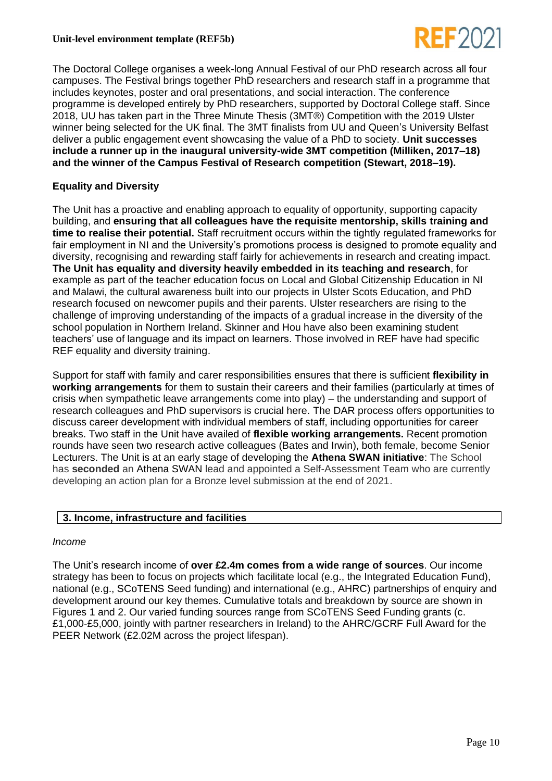

The Doctoral College organises a week-long Annual Festival of our PhD research across all four campuses. The Festival brings together PhD researchers and research staff in a programme that includes keynotes, poster and oral presentations, and social interaction. The conference programme is developed entirely by PhD researchers, supported by Doctoral College staff. Since 2018, UU has taken part in the Three Minute Thesis (3MT®) Competition with the 2019 Ulster winner being selected for the UK final. The 3MT finalists from UU and Queen's University Belfast deliver a public engagement event showcasing the value of a PhD to society. **Unit successes include a runner up in the inaugural university-wide 3MT competition (Milliken, 2017–18) and the winner of the Campus Festival of Research competition (Stewart, 2018–19).** 

# **Equality and Diversity**

The Unit has a proactive and enabling approach to equality of opportunity, supporting capacity building, and **ensuring that all colleagues have the requisite mentorship, skills training and time to realise their potential.** Staff recruitment occurs within the tightly regulated frameworks for fair employment in NI and the University's promotions process is designed to promote equality and diversity, recognising and rewarding staff fairly for achievements in research and creating impact. **The Unit has equality and diversity heavily embedded in its teaching and research**, for example as part of the teacher education focus on Local and Global Citizenship Education in NI and Malawi, the cultural awareness built into our projects in Ulster Scots Education, and PhD research focused on newcomer pupils and their parents. Ulster researchers are rising to the challenge of improving understanding of the impacts of a gradual increase in the diversity of the school population in Northern Ireland. Skinner and Hou have also been examining student teachers' use of language and its impact on learners. Those involved in REF have had specific REF equality and diversity training.

Support for staff with family and carer responsibilities ensures that there is sufficient **flexibility in working arrangements** for them to sustain their careers and their families (particularly at times of crisis when sympathetic leave arrangements come into play) – the understanding and support of research colleagues and PhD supervisors is crucial here. The DAR process offers opportunities to discuss career development with individual members of staff, including opportunities for career breaks. Two staff in the Unit have availed of **flexible working arrangements.** Recent promotion rounds have seen two research active colleagues (Bates and Irwin), both female, become Senior Lecturers. The Unit is at an early stage of developing the **Athena SWAN initiative**: The School has **seconded** an Athena SWAN lead and appointed a Self-Assessment Team who are currently developing an action plan for a Bronze level submission at the end of 2021.

# **3. Income, infrastructure and facilities**

## *Income*

The Unit's research income of **over £2.4m comes from a wide range of sources**. Our income strategy has been to focus on projects which facilitate local (e.g., the Integrated Education Fund), national (e.g., SCoTENS Seed funding) and international (e.g., AHRC) partnerships of enquiry and development around our key themes. Cumulative totals and breakdown by source are shown in Figures 1 and 2. Our varied funding sources range from SCoTENS Seed Funding grants (c. £1,000-£5,000, jointly with partner researchers in Ireland) to the AHRC/GCRF Full Award for the PEER Network (£2.02M across the project lifespan).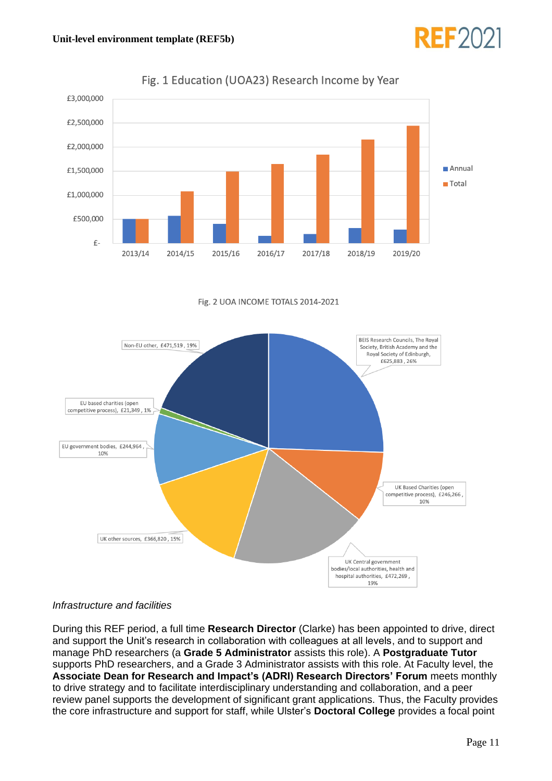



# Fig. 1 Education (UOA23) Research Income by Year

Fig. 2 UOA INCOME TOTALS 2014-2021



# *Infrastructure and facilities*

During this REF period, a full time **Research Director** (Clarke) has been appointed to drive, direct and support the Unit's research in collaboration with colleagues at all levels, and to support and manage PhD researchers (a **Grade 5 Administrator** assists this role). A **Postgraduate Tutor**  supports PhD researchers, and a Grade 3 Administrator assists with this role. At Faculty level, the **Associate Dean for Research and Impact's (ADRI) Research Directors' Forum** meets monthly to drive strategy and to facilitate interdisciplinary understanding and collaboration, and a peer review panel supports the development of significant grant applications. Thus, the Faculty provides the core infrastructure and support for staff, while Ulster's **Doctoral College** provides a focal point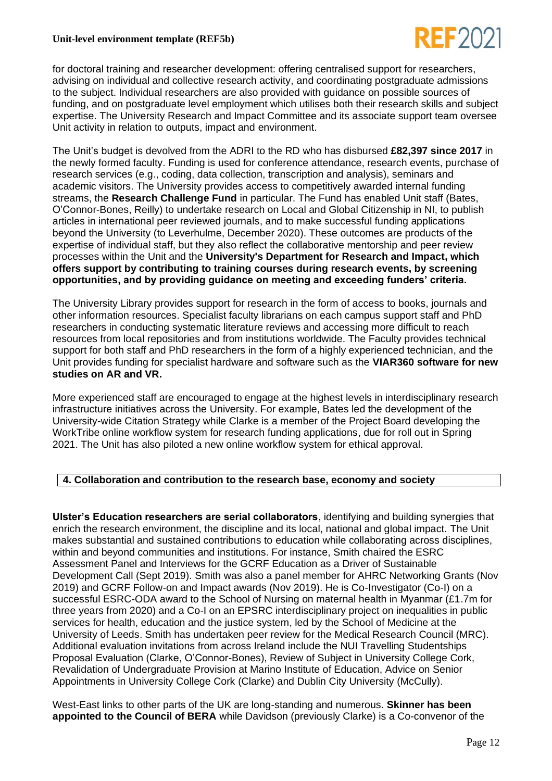

for doctoral training and researcher development: offering centralised support for researchers, advising on individual and collective research activity, and coordinating postgraduate admissions to the subject. Individual researchers are also provided with guidance on possible sources of funding, and on postgraduate level employment which utilises both their research skills and subject expertise. The University Research and Impact Committee and its associate support team oversee Unit activity in relation to outputs, impact and environment.

The Unit's budget is devolved from the ADRI to the RD who has disbursed **£82,397 since 2017** in the newly formed faculty. Funding is used for conference attendance, research events, purchase of research services (e.g., coding, data collection, transcription and analysis), seminars and academic visitors. The University provides access to competitively awarded internal funding streams, the **Research Challenge Fund** in particular. The Fund has enabled Unit staff (Bates, O'Connor-Bones, Reilly) to undertake research on Local and Global Citizenship in NI, to publish articles in international peer reviewed journals, and to make successful funding applications beyond the University (to Leverhulme, December 2020). These outcomes are products of the expertise of individual staff, but they also reflect the collaborative mentorship and peer review processes within the Unit and the **University's Department for Research and Impact, which offers support by contributing to training courses during research events, by screening opportunities, and by providing guidance on meeting and exceeding funders' criteria.**

The University Library provides support for research in the form of access to books, journals and other information resources. Specialist faculty librarians on each campus support staff and PhD researchers in conducting systematic literature reviews and accessing more difficult to reach resources from local repositories and from institutions worldwide. The Faculty provides technical support for both staff and PhD researchers in the form of a highly experienced technician, and the Unit provides funding for specialist hardware and software such as the **VIAR360 software for new studies on AR and VR.**

More experienced staff are encouraged to engage at the highest levels in interdisciplinary research infrastructure initiatives across the University. For example, Bates led the development of the University-wide Citation Strategy while Clarke is a member of the Project Board developing the WorkTribe online workflow system for research funding applications, due for roll out in Spring 2021. The Unit has also piloted a new online workflow system for ethical approval.

### **4. Collaboration and contribution to the research base, economy and society**

**Ulster's Education researchers are serial collaborators**, identifying and building synergies that enrich the research environment, the discipline and its local, national and global impact. The Unit makes substantial and sustained contributions to education while collaborating across disciplines, within and beyond communities and institutions. For instance, Smith chaired the ESRC Assessment Panel and Interviews for the GCRF Education as a Driver of Sustainable Development Call (Sept 2019). Smith was also a panel member for AHRC Networking Grants (Nov 2019) and GCRF Follow-on and Impact awards (Nov 2019). He is Co-Investigator (Co-I) on a successful ESRC-ODA award to the School of Nursing on maternal health in Myanmar (£1.7m for three years from 2020) and a Co-I on an EPSRC interdisciplinary project on inequalities in public services for health, education and the justice system, led by the School of Medicine at the University of Leeds. Smith has undertaken peer review for the Medical Research Council (MRC). Additional evaluation invitations from across Ireland include the NUI Travelling Studentships Proposal Evaluation (Clarke, O'Connor-Bones), Review of Subject in University College Cork, Revalidation of Undergraduate Provision at Marino Institute of Education, Advice on Senior Appointments in University College Cork (Clarke) and Dublin City University (McCully).

West-East links to other parts of the UK are long-standing and numerous. **Skinner has been appointed to the Council of BERA** while Davidson (previously Clarke) is a Co-convenor of the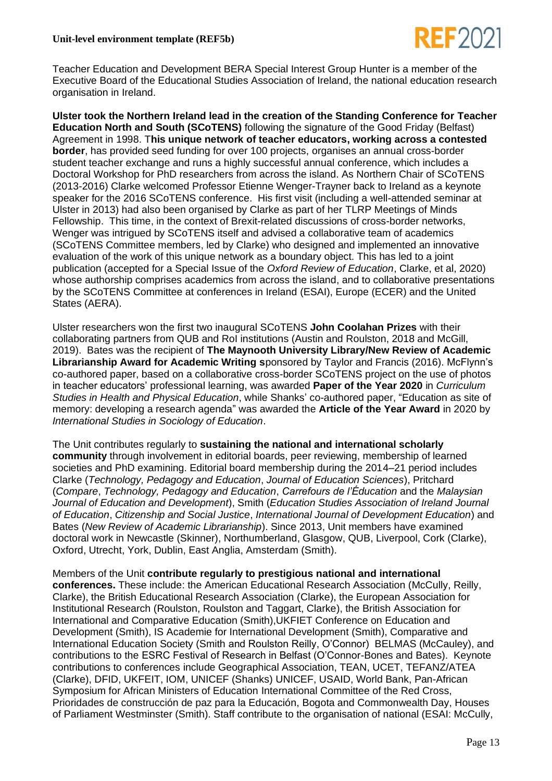

Teacher Education and Development BERA Special Interest Group Hunter is a member of the Executive Board of the Educational Studies Association of Ireland, the national education research organisation in Ireland.

**Ulster took the Northern Ireland lead in the creation of the Standing Conference for Teacher Education North and South (SCoTENS)** following the signature of the Good Friday (Belfast) Agreement in 1998. T**his unique network of teacher educators, working across a contested border**, has provided seed funding for over 100 projects, organises an annual cross-border student teacher exchange and runs a highly successful annual conference, which includes a Doctoral Workshop for PhD researchers from across the island. As Northern Chair of SCoTENS (2013-2016) Clarke welcomed Professor Etienne Wenger-Trayner back to Ireland as a keynote speaker for the 2016 SCoTENS conference. His first visit (including a well-attended seminar at Ulster in 2013) had also been organised by Clarke as part of her TLRP Meetings of Minds Fellowship. This time, in the context of Brexit-related discussions of cross-border networks, Wenger was intrigued by SCoTENS itself and advised a collaborative team of academics (SCoTENS Committee members, led by Clarke) who designed and implemented an innovative evaluation of the work of this unique network as a boundary object. This has led to a joint publication (accepted for a Special Issue of the *Oxford Review of Education*, Clarke, et al, 2020) whose authorship comprises academics from across the island, and to collaborative presentations by the SCoTENS Committee at conferences in Ireland (ESAI), Europe (ECER) and the United States (AERA).

Ulster researchers won the first two inaugural SCoTENS **John Coolahan Prizes** with their collaborating partners from QUB and RoI institutions (Austin and Roulston, 2018 and McGill, 2019). Bates was the recipient of **The Maynooth University Library/New Review of Academic Librarianship Award for Academic Writing s**ponsored by Taylor and Francis (2016). McFlynn's co-authored paper, based on a collaborative cross-border SCoTENS project on the use of photos in teacher educators' professional learning, was awarded **Paper of the Year 2020** in *Curriculum Studies in Health and Physical Education*, while Shanks' co-authored paper, "Education as site of memory: developing a research agenda" was awarded the **Article of the Year Award** in 2020 by *International Studies in Sociology of Education*.

The Unit contributes regularly to **sustaining the national and international scholarly community** through involvement in editorial boards, peer reviewing, membership of learned societies and PhD examining. Editorial board membership during the 2014–21 period includes Clarke (*Technology, Pedagogy and Education*, *Journal of Education Sciences*), Pritchard (*Compare*, *Technology, Pedagogy and Education*, *Carrefours de l'Éducation* and the *Malaysian Journal of Education and Development*), Smith (*Education Studies Association of Ireland Journal of Education*, *Citizenship and Social Justice*, *International Journal of Development Education*) and Bates (*New Review of Academic Librarianship*). Since 2013, Unit members have examined doctoral work in Newcastle (Skinner), Northumberland, Glasgow, QUB, Liverpool, Cork (Clarke), Oxford, Utrecht, York, Dublin, East Anglia, Amsterdam (Smith).

Members of the Unit **contribute regularly to prestigious national and international conferences.** These include: the American Educational Research Association (McCully, Reilly, Clarke), the British Educational Research Association (Clarke), the European Association for Institutional Research (Roulston, Roulston and Taggart, Clarke), the British Association for International and Comparative Education (Smith),UKFIET Conference on Education and Development (Smith), IS Academie for International Development (Smith), Comparative and International Education Society (Smith and Roulston Reilly, O'Connor) BELMAS (McCauley), and contributions to the ESRC Festival of Research in Belfast (O'Connor-Bones and Bates). Keynote contributions to conferences include Geographical Association, TEAN, UCET, TEFANZ/ATEA (Clarke), DFID, UKFEIT, IOM, UNICEF (Shanks) UNICEF, USAID, World Bank, Pan-African Symposium for African Ministers of Education International Committee of the Red Cross, Prioridades de construcción de paz para la Educación, Bogota and Commonwealth Day, Houses of Parliament Westminster (Smith). Staff contribute to the organisation of national (ESAI: McCully,